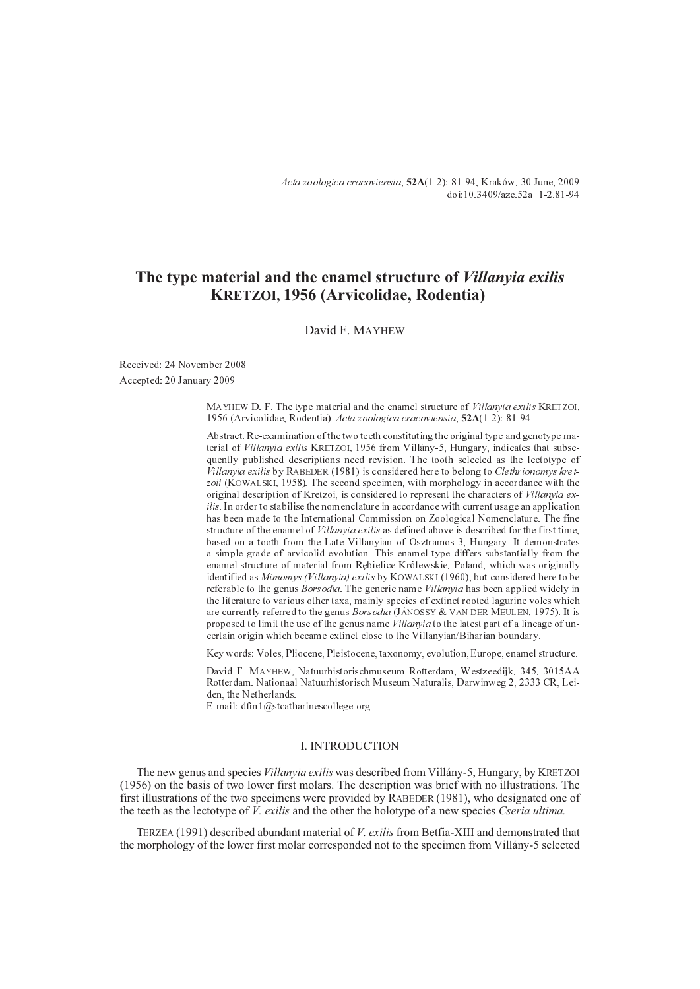Acta zoologica cracoviensia, **52A**(1-2): 81-94, Kraków, 30 June, 2009 doi:10.3409/azc.52a\_1-2.81-94

# **The type material and the enamel structure of** *Villanyia exilis* **KRETZOI, 1956 (Arvicolidae, Rodentia)**

David F. MAYHEW

Received: 24 November 2008 Accepted: 20 January 2009

> MAYHEW D. F. The type material and the enamel structure of Villanyia exilis KRETZOI, 1956 (Arvicolidae, Rodentia). Acta zoologica cracoviensia, **52A**(1-2): 81-94.

> Abstract. Re-examination of the two teeth constituting the original type and genotype material of Villanyia exilis KRETZOI, 1956 from Villány-5, Hungary, indicates that subsequently published descriptions need revision. The tooth selected as the lectotype of  $Villanvia$  exilis by RABEDER (1981) is considered here to belong to Clethrionomys kretzoii (KOWALSKI, 1958). The second specimen, with morphology in accordance with the original description of Kretzoi, is considered to represent the characters of *Villanvia ex*ilis. In order to stabilise the nomenclature in accordance with current usage an application has been made to the International Commission on Zoological Nomenclature. The fine structure of the enamel of Villanyia exilis as defined above is described for the first time, based on a tooth from the Late Villanyian of Osztramos-3, Hungary. It demonstrates a simple grade of arvicolid evolution. This enamel type differs substantially from the enamel structure of material from Rêbielice Królewskie, Poland, which was originally identified as Mimomys (Villanyia) exilis by KOWALSKI (1960), but considered here to be referable to the genus Borsodia. The generic name Villanyia has been applied widely in the literature to various other taxa, mainly species of extinct rooted lagurine voles which are currently referred to the genus Borsodia (JÁNOSSY & VAN DER MEULEN, 1975). It is proposed to limit the use of the genus name Villanyia to the latest part of a lineage of uncertain origin which became extinct close to the Villanyian/Biharian boundary.

> Key words: Voles, Pliocene, Pleistocene, taxonomy, evolution, Europe, enamel structure.

David F. MAYHEW, Natuurhistorischmuseum Rotterdam, Westzeedijk, 345, 3015AA Rotterdam. Nationaal Natuurhistorisch Museum Naturalis, Darwinweg 2, 2333 CR, Leiden, the Netherlands.

E-mail: dfm1@stcatharinescollege.org

## I. INTRODUCTION

The new genus and species *Villanyia exilis* was described from Villány-5, Hungary, by KRETZOI (1956) on the basis of two lower first molars. The description was brief with no illustrations. The first illustrations of the two specimens were provided by RABEDER (1981), who designated one of the teeth as the lectotype of *V. exilis* and the other the holotype of a new species *Cseria ultima.*

TERZEA (1991) described abundant material of *V. exilis* from Betfia-XIII and demonstrated that the morphology of the lower first molar corresponded not to the specimen from Villány-5 selected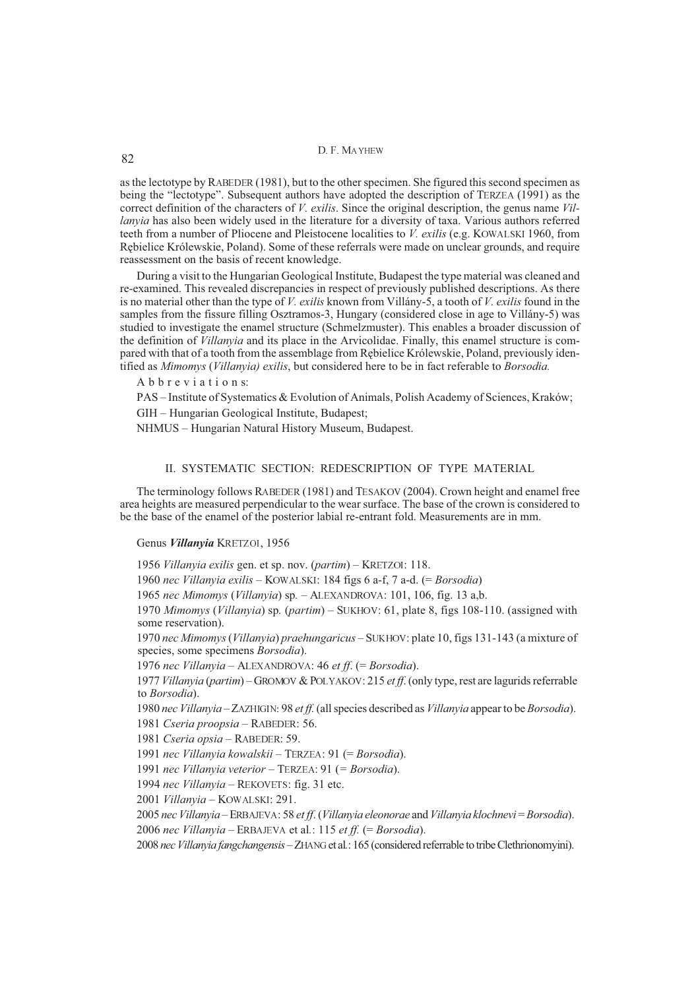as the lectotype by RABEDER (1981), but to the other specimen. She figured this second specimen as being the "lectotype". Subsequent authors have adopted the description of TERZEA (1991) as the correct definition of the characters of *V. exilis*. Since the original description, the genus name *Villanyia* has also been widely used in the literature for a diversity of taxa. Various authors referred teeth from a number of Pliocene and Pleistocene localities to *V. exilis* (e.g. KOWALSKI 1960, from Rêbielice Królewskie, Poland). Some of these referrals were made on unclear grounds, and require reassessment on the basis of recent knowledge.

During a visit to the Hungarian Geological Institute, Budapest the type material was cleaned and re-examined. This revealed discrepancies in respect of previously published descriptions. As there is no material other than the type of *V. exilis* known from Villány-5, a tooth of *V. exilis* found in the samples from the fissure filling Osztramos-3, Hungary (considered close in age to Villány-5) was studied to investigate the enamel structure (Schmelzmuster). This enables a broader discussion of the definition of *Villanyia* and its place in the Arvicolidae. Finally, this enamel structure is compared with that of a tooth from the assemblage from Rêbielice Królewskie, Poland, previously identified as *Mimomys* (*Villanyia) exilis*, but considered here to be in fact referable to *Borsodia.*

A b b r e v i a t i o n s:

PAS – Institute of Systematics & Evolution of Animals, Polish Academy of Sciences, Kraków; GIH – Hungarian Geological Institute, Budapest;

NHMUS – Hungarian Natural History Museum, Budapest.

## II. SYSTEMATIC SECTION: REDESCRIPTION OF TYPE MATERIAL

The terminology follows RABEDER (1981) and TESAKOV (2004). Crown height and enamel free area heights are measured perpendicular to the wear surface. The base of the crown is considered to be the base of the enamel of the posterior labial re-entrant fold. Measurements are in mm.

#### Genus *Villanyia* KRETZOI, 1956

1956 *Villanyia exilis* gen. et sp. nov. (*partim*) – KRETZOI: 118.

1960 *nec Villanyia exilis* – KOWALSKI: 184 figs 6 a-f, 7 a-d. (= *Borsodia*)

1965 *nec Mimomys* (*Villanyia*) sp*.* – ALEXANDROVA: 101, 106, fig. 13 a,b.

1970 *Mimomys* (*Villanyia*) sp*.* (*partim*) – SUKHOV: 61, plate 8, figs 108-110. (assigned with some reservation).

1970 *nec Mimomys*(*Villanyia*) *praehungaricus* – SUKHOV: plate 10, figs 131-143 (a mixture of species, some specimens *Borsodia*).

1976 *nec Villanyia* – ALEXANDROVA: 46 *et ff*. (= *Borsodia*).

1977 *Villanyia* (*partim*) – GROMOV & POLYAKOV: 215 *et ff*. (only type, rest are lagurids referrable to *Borsodia*).

1980 *nec Villanyia* – ZAZHIGIN: 98 *et ff.*(all species described as *Villanyia* appear to be *Borsodia*).

1981 *Cseria proopsia* – RABEDER: 56.

1981 *Cseria opsia* – RABEDER: 59.

1991 *nec Villanyia kowalskii* – TERZEA: 91 (= *Borsodia*).

1991 *nec Villanyia veterior* – TERZEA: 91 (*= Borsodia*).

1994 *nec Villanyia* – REKOVETS: fig. 31 etc.

2001 *Villanyia* – KOWALSKI: 291.

2005 *nec Villanyia* – ERBAJEVA: 58 *et ff*. (*Villanyia eleonorae* and *Villanyia klochnevi* = *Borsodia*). 2006 *nec Villanyia* – ERBAJEVA et al*.*: 115 *et ff.* (= *Borsodia*).

2008 *nec Villanyia fangchangensis* – ZHANGet al*.*: 165 (considered referrable to tribe Clethrionomyini).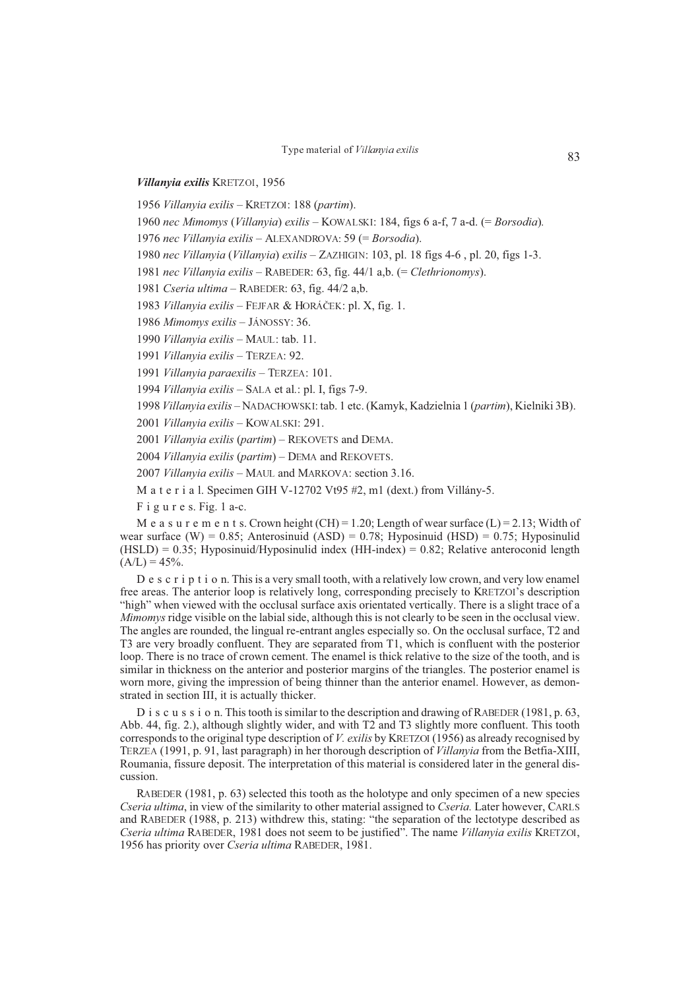*Villanyia exilis* KRETZOI, 1956

1956 *Villanyia exilis* – KRETZOI: 188 (*partim*).

1960 *nec Mimomys* (*Villanyia*) *exilis* – KOWALSKI: 184, figs 6 a-f, 7 a-d. (= *Borsodia*)*.*

1976 *nec Villanyia exilis* – ALEXANDROVA: 59 (= *Borsodia*).

1980 *nec Villanyia* (*Villanyia*) *exilis* – ZAZHIGIN: 103, pl. 18 figs 4-6 , pl. 20, figs 1-3.

1981 *nec Villanyia exilis* – RABEDER: 63, fig. 44/1 a,b. (= *Clethrionomys*).

1981 *Cseria ultima* – RABEDER: 63, fig. 44/2 a,b.

1983 *Villanyia exilis* – FEJFAR & HORÁÈEK: pl. X, fig. 1.

1986 *Mimomys exilis* – JÁNOSSY: 36.

1990 *Villanyia exilis* – MAUL: tab. 11.

1991 *Villanyia exilis* – TERZEA: 92.

1991 *Villanyia paraexilis* – TERZEA: 101.

1994 *Villanyia exilis* – SALA et al*.*: pl. I, figs 7-9.

1998 *Villanyia exilis* – NADACHOWSKI: tab. 1 etc. (Kamyk, Kadzielnia 1 (*partim*), Kielniki 3B).

2001 *Villanyia exilis* – KOWALSKI: 291.

2001 *Villanyia exilis* (*partim*) – REKOVETS and DEMA.

2004 *Villanyia exilis* (*partim*) – DEMA and REKOVETS.

2007 *Villanyia exilis* – MAUL and MARKOVA: section 3.16.

M a t e r i a l. Specimen GIH V-12702 Vt95 #2, m1 (dext.) from Villány-5.

F i g u r e s. Fig. 1 a-c.

M e a s u r e m e n t s. Crown height  $(CH) = 1.20$ ; Length of wear surface  $(L) = 2.13$ ; Width of wear surface (W) = 0.85; Anterosinuid (ASD) = 0.78; Hyposinuid (HSD) = 0.75; Hyposinulid  $(HSLD) = 0.35$ ; Hyposinuid/Hyposinulid index  $(HH$ -index) = 0.82; Relative anteroconid length  $(A/L) = 45\%$ .

D e s c r i p t i o n. This is a very small tooth, with a relatively low crown, and very low enamel free areas. The anterior loop is relatively long, corresponding precisely to KRETZOI's description "high" when viewed with the occlusal surface axis orientated vertically. There is a slight trace of a *Mimomys* ridge visible on the labial side, although this is not clearly to be seen in the occlusal view. The angles are rounded, the lingual re-entrant angles especially so. On the occlusal surface, T2 and T3 are very broadly confluent. They are separated from T1, which is confluent with the posterior loop. There is no trace of crown cement. The enamel is thick relative to the size of the tooth, and is similar in thickness on the anterior and posterior margins of the triangles. The posterior enamel is worn more, giving the impression of being thinner than the anterior enamel. However, as demonstrated in section III, it is actually thicker.

D i s c u s s i o n. This tooth is similar to the description and drawing of RABEDER (1981, p. 63, Abb. 44, fig. 2.), although slightly wider, and with T2 and T3 slightly more confluent. This tooth corresponds to the original type description of *V. exilis* by KRETZOI (1956) as already recognised by TERZEA (1991, p. 91, last paragraph) in her thorough description of *Villanyia* from the Betfia-XIII, Roumania, fissure deposit. The interpretation of this material is considered later in the general discussion.

RABEDER (1981, p. 63) selected this tooth as the holotype and only specimen of a new species *Cseria ultima*, in view of the similarity to other material assigned to *Cseria.* Later however, CARLS and RABEDER (1988, p. 213) withdrew this, stating: "the separation of the lectotype described as *Cseria ultima* RABEDER, 1981 does not seem to be justified". The name *Villanyia exilis* KRETZOI, 1956 has priority over *Cseria ultima* RABEDER, 1981.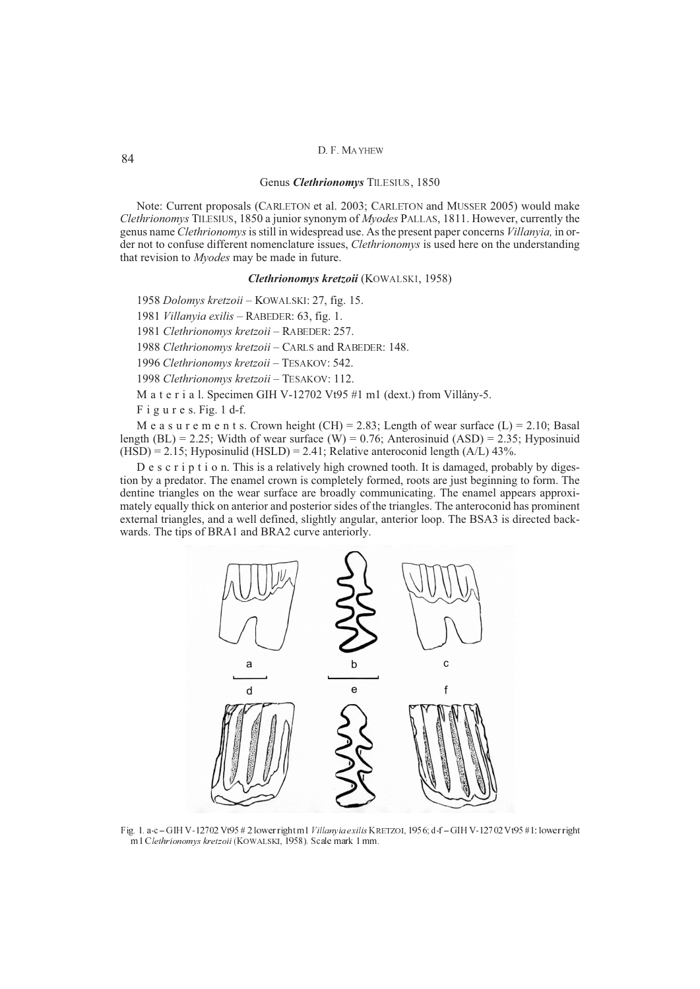## Genus *Clethrionomys* TILESIUS, 1850

Note: Current proposals (CARLETON et al. 2003; CARLETON and MUSSER 2005) would make *Clethrionomys* TILESIUS, 1850 a junior synonym of *Myodes* PALLAS, 1811. However, currently the genus name *Clethrionomys*is still in widespread use. As the present paper concerns *Villanyia,* in order not to confuse different nomenclature issues, *Clethrionomys* is used here on the understanding that revision to *Myodes* may be made in future.

## *Clethrionomys kretzoii* (KOWALSKI, 1958)

1958 *Dolomys kretzoii* – KOWALSKI: 27, fig. 15.

1981 *Villanyia exilis* – RABEDER: 63, fig. 1.

1981 *Clethrionomys kretzoii* – RABEDER: 257.

1988 *Clethrionomys kretzoii* – CARLS and RABEDER: 148.

1996 *Clethrionomys kretzoii* – TESAKOV: 542.

1998 *Clethrionomys kretzoii* – TESAKOV: 112.

M a t e r i a l. Specimen GIH V-12702 Vt95 #1 m1 (dext.) from Villány-5.

F i g u r e s. Fig. 1 d-f.

M e a s u r e m e n t s. Crown height (CH) = 2.83; Length of wear surface (L) = 2.10; Basal length (BL) = 2.25; Width of wear surface (W) = 0.76; Anterosinuid (ASD) = 2.35; Hyposinuid  $(HSD) = 2.15$ ; Hyposinulid  $(HSLD) = 2.41$ ; Relative anteroconid length  $(A/L)$  43%.

D e s c r i p t i o n. This is a relatively high crowned tooth. It is damaged, probably by digestion by a predator. The enamel crown is completely formed, roots are just beginning to form. The dentine triangles on the wear surface are broadly communicating. The enamel appears approximately equally thick on anterior and posterior sides of the triangles. The anteroconid has prominent external triangles, and a well defined, slightly angular, anterior loop. The BSA3 is directed backwards. The tips of BRA1 and BRA2 curve anteriorly.



Fig. 1. a-c - GIH V-12702 Vt95 # 2 lower right m1 Villanyia exilis KRETZOI, 1956; d-f - GIH V-12702 Vt95 #1: lower right m1 Clethrionomys kretzoii (KOWALSKI, 1958). Scale mark 1 mm.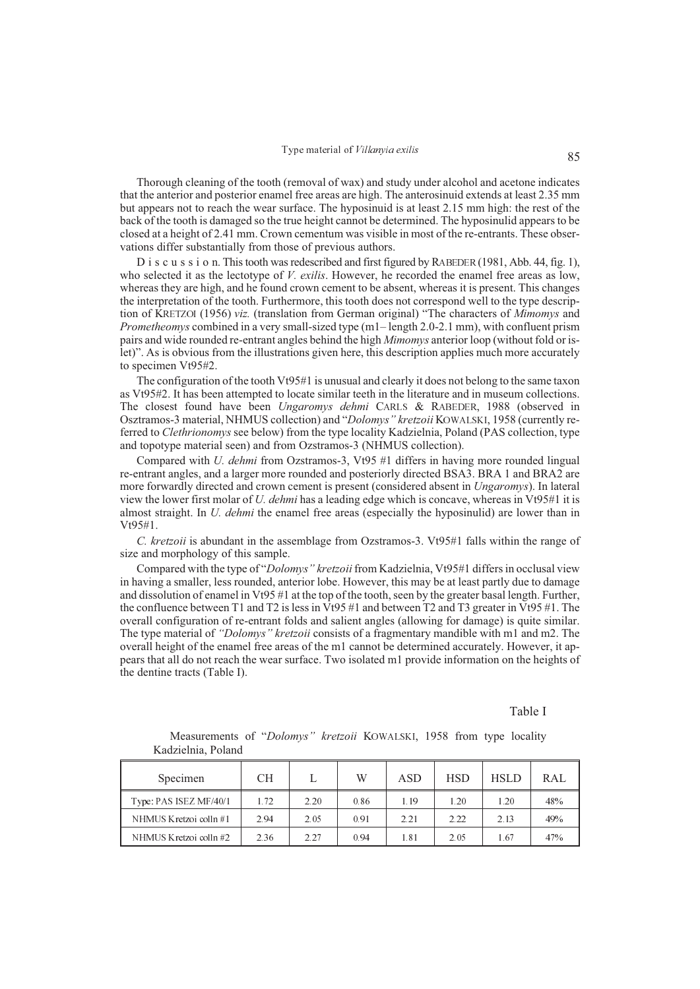Thorough cleaning of the tooth (removal of wax) and study under alcohol and acetone indicates that the anterior and posterior enamel free areas are high. The anterosinuid extends at least 2.35 mm but appears not to reach the wear surface. The hyposinuid is at least 2.15 mm high: the rest of the back of the tooth is damaged so the true height cannot be determined. The hyposinulid appears to be closed at a height of 2.41 mm. Crown cementum was visible in most of the re-entrants. These observations differ substantially from those of previous authors.

D i s c u s s i o n. This tooth was redescribed and first figured by RABEDER (1981, Abb. 44, fig. 1), who selected it as the lectotype of *V. exilis*. However, he recorded the enamel free areas as low, whereas they are high, and he found crown cement to be absent, whereas it is present. This changes the interpretation of the tooth. Furthermore, this tooth does not correspond well to the type description of KRETZOI (1956) *viz.* (translation from German original) "The characters of *Mimomys* and *Prometheomys* combined in a very small-sized type (m<sub>1</sub> – length 2.0-2.1 mm), with confluent prism pairs and wide rounded re-entrant angles behind the high *Mimomys* anterior loop (without fold or islet)". As is obvious from the illustrations given here, this description applies much more accurately to specimen Vt95#2.

The configuration of the tooth Vt95#1 is unusual and clearly it does not belong to the same taxon as Vt95#2. It has been attempted to locate similar teeth in the literature and in museum collections. The closest found have been *Ungaromys dehmi* CARLS & RABEDER, 1988 (observed in Osztramos-3 material, NHMUS collection) and "*Dolomys" kretzoii* KOWALSKI, 1958 (currently referred to *Clethrionomys* see below) from the type locality Kadzielnia, Poland (PAS collection, type and topotype material seen) and from Ozstramos-3 (NHMUS collection).

Compared with *U. dehmi* from Ozstramos-3, Vt95 #1 differs in having more rounded lingual re-entrant angles, and a larger more rounded and posteriorly directed BSA3. BRA 1 and BRA2 are more forwardly directed and crown cement is present (considered absent in *Ungaromys*). In lateral view the lower first molar of *U. dehmi* has a leading edge which is concave, whereas in Vt95#1 it is almost straight. In *U. dehmi* the enamel free areas (especially the hyposinulid) are lower than in  $Vt95#1$ 

*C. kretzoii* is abundant in the assemblage from Ozstramos-3. Vt95#1 falls within the range of size and morphology of this sample.

Compared with the type of "*Dolomys" kretzoii* from Kadzielnia, Vt95#1 differs in occlusal view in having a smaller, less rounded, anterior lobe. However, this may be at least partly due to damage and dissolution of enamel in Vt95 #1 at the top of the tooth, seen by the greater basal length. Further, the confluence between T1 and T2 is less in Vt95 #1 and between T2 and T3 greater in Vt95 #1. The overall configuration of re-entrant folds and salient angles (allowing for damage) is quite similar. The type material of *"Dolomys" kretzoii* consists of a fragmentary mandible with m1 and m2. The overall height of the enamel free areas of the m1 cannot be determined accurately. However, it appears that all do not reach the wear surface. Two isolated m1 provide information on the heights of the dentine tracts (Table I).

## Table I

| Specimen               | CН   |      | W    | <b>ASD</b> | <b>HSD</b> | <b>HSLD</b> | <b>RAL</b> |
|------------------------|------|------|------|------------|------------|-------------|------------|
| Type: PAS ISEZ MF/40/1 | 1.72 | 2.20 | 0.86 | 1 19       | 1.20       | $\pm 20$    | 48%        |
| NHMUS Kretzoi colln#1  | 2.94 | 2.05 | 0.91 | 2.21       | 2.22       | 2.13        | 49%        |
| NHMUS Kretzoi colln#2  | 2.36 | 2.27 | 0.94 | 1.81       | 2.05       | 67ء         | 47%        |

Measurements of "*Dolomys" kretzoii* KOWALSKI, 1958 from type locality Kadzielnia, Poland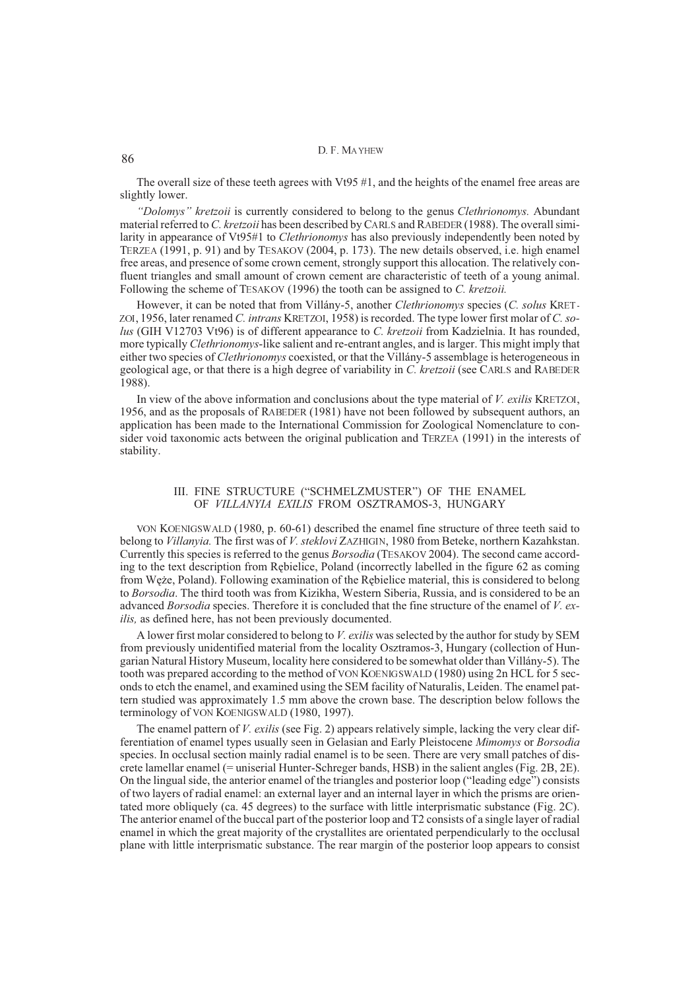The overall size of these teeth agrees with Vt95 #1, and the heights of the enamel free areas are slightly lower.

*"Dolomys" kretzoii* is currently considered to belong to the genus *Clethrionomys.* Abundant material referred to *C. kretzoii* has been described by CARLS and RABEDER(1988). The overall similarity in appearance of Vt95#1 to *Clethrionomys* has also previously independently been noted by TERZEA (1991, p. 91) and by TESAKOV (2004, p. 173). The new details observed, i.e. high enamel free areas, and presence of some crown cement, strongly support this allocation. The relatively confluent triangles and small amount of crown cement are characteristic of teeth of a young animal. Following the scheme of TESAKOV (1996) the tooth can be assigned to *C. kretzoii.*

However, it can be noted that from Villány-5, another *Clethrionomys* species (*C. solus* KRET-ZOI, 1956, later renamed *C. intrans* KRETZOI, 1958) is recorded. The type lower first molar of *C. solus* (GIH V12703 Vt96) is of different appearance to *C. kretzoii* from Kadzielnia. It has rounded, more typically *Clethrionomys*-like salient and re-entrant angles, and is larger. This might imply that either two species of *Clethrionomys* coexisted, or that the Villány-5 assemblage is heterogeneous in geological age, or that there is a high degree of variability in *C. kretzoii* (see CARLS and RABEDER 1988).

In view of the above information and conclusions about the type material of *V. exilis* KRETZOI, 1956, and as the proposals of RABEDER (1981) have not been followed by subsequent authors, an application has been made to the International Commission for Zoological Nomenclature to consider void taxonomic acts between the original publication and TERZEA (1991) in the interests of stability.

## III. FINE STRUCTURE ("SCHMELZMUSTER") OF THE ENAMEL OF *VILLANYIA EXILIS* FROM OSZTRAMOS-3, HUNGARY

VON KOENIGSWALD (1980, p. 60-61) described the enamel fine structure of three teeth said to belong to *Villanyia.* The first was of *V. steklovi* ZAZHIGIN, 1980 from Beteke, northern Kazahkstan. Currently this species is referred to the genus *Borsodia* (TESAKOV 2004). The second came according to the text description from Rêbielice, Poland (incorrectly labelled in the figure 62 as coming from Wê¿e, Poland). Following examination of the Rêbielice material, this is considered to belong to *Borsodia*. The third tooth was from Kizikha, Western Siberia, Russia, and is considered to be an advanced *Borsodia* species. Therefore it is concluded that the fine structure of the enamel of *V. exilis,* as defined here, has not been previously documented.

A lower first molar considered to belong to *V. exilis* was selected by the author for study by SEM from previously unidentified material from the locality Osztramos-3, Hungary (collection of Hungarian Natural History Museum, locality here considered to be somewhat older than Villány-5). The tooth was prepared according to the method of VON KOENIGSWALD (1980) using 2n HCL for 5 seconds to etch the enamel, and examined using the SEM facility of Naturalis, Leiden. The enamel pattern studied was approximately 1.5 mm above the crown base. The description below follows the terminology of VON KOENIGSWALD (1980, 1997).

The enamel pattern of *V. exilis* (see Fig. 2) appears relatively simple, lacking the very clear differentiation of enamel types usually seen in Gelasian and Early Pleistocene *Mimomys* or *Borsodia* species. In occlusal section mainly radial enamel is to be seen. There are very small patches of discrete lamellar enamel (= uniserial Hunter-Schreger bands, HSB) in the salient angles (Fig. 2B, 2E). On the lingual side, the anterior enamel of the triangles and posterior loop ("leading edge") consists of two layers of radial enamel: an external layer and an internal layer in which the prisms are orientated more obliquely (ca. 45 degrees) to the surface with little interprismatic substance (Fig. 2C). The anterior enamel of the buccal part of the posterior loop and T2 consists of a single layer of radial enamel in which the great majority of the crystallites are orientated perpendicularly to the occlusal plane with little interprismatic substance. The rear margin of the posterior loop appears to consist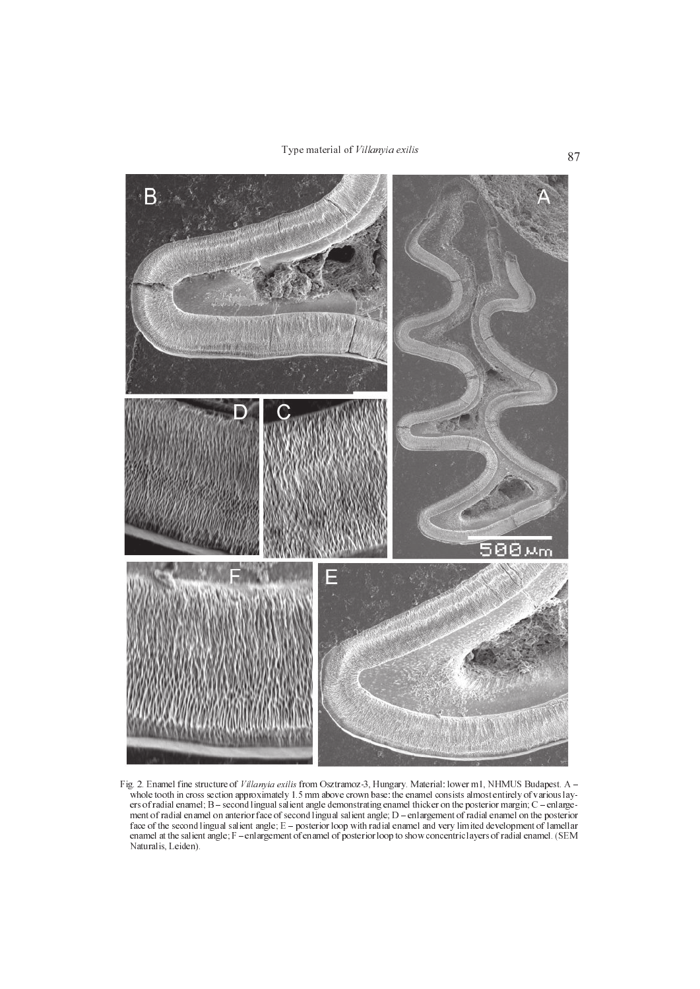Type material of *Villanyia exilis* 87



Fig. 2. Enamel fine structure of Villanyia exilis from Osztramoz-3, Hungary. Material: lower m1, NHMUS Budapest. A whole tooth in cross section approximately 1.5 mm above crown base: the enamel consists almost entirely of various layers of radial enamel;  $B$  – second lingual salient angle demonstrating enamel thicker on the posterior margin;  $C$  – enlargement of radial enamel on anterior face of second lingual salient angle; D – enlargement of radial enamel on the posterior face of the second lingual salient angle;  $E -$  posterior loop with radial enamel and very limited development of lamellar enamel at the salient angle;  $F$  – enlargement of enamel of posterior loop to show concentric layers of radial enamel. (SEM Naturalis, Leiden).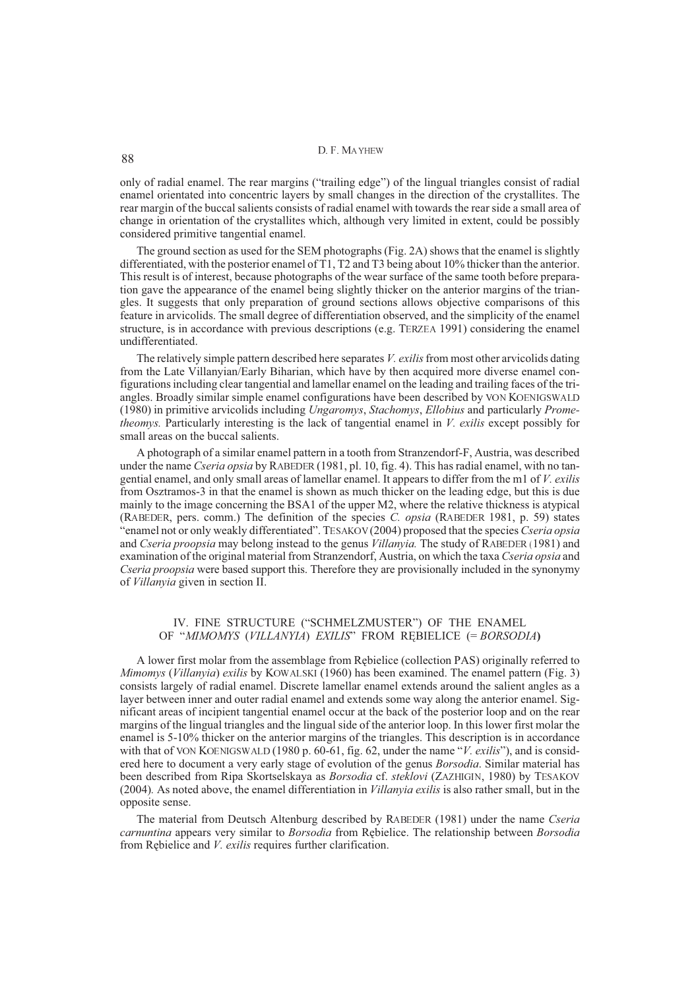only of radial enamel. The rear margins ("trailing edge") of the lingual triangles consist of radial enamel orientated into concentric layers by small changes in the direction of the crystallites. The rear margin of the buccal salients consists of radial enamel with towards the rear side a small area of change in orientation of the crystallites which, although very limited in extent, could be possibly considered primitive tangential enamel.

The ground section as used for the SEM photographs (Fig. 2A) shows that the enamel is slightly differentiated, with the posterior enamel of T1, T2 and T3 being about 10% thicker than the anterior. This result is of interest, because photographs of the wear surface of the same tooth before preparation gave the appearance of the enamel being slightly thicker on the anterior margins of the triangles. It suggests that only preparation of ground sections allows objective comparisons of this feature in arvicolids. The small degree of differentiation observed, and the simplicity of the enamel structure, is in accordance with previous descriptions (e.g. TERZEA 1991) considering the enamel undifferentiated.

The relatively simple pattern described here separates *V. exilis* from most other arvicolids dating from the Late Villanyian/Early Biharian, which have by then acquired more diverse enamel configurations including clear tangential and lamellar enamel on the leading and trailing faces of the triangles. Broadly similar simple enamel configurations have been described by VON KOENIGSWALD (1980) in primitive arvicolids including *Ungaromys*, *Stachomys*, *Ellobius* and particularly *Prometheomys.* Particularly interesting is the lack of tangential enamel in *V. exilis* except possibly for small areas on the buccal salients.

A photograph of a similar enamel pattern in a tooth from Stranzendorf-F, Austria, was described under the name *Cseria opsia* by RABEDER (1981, pl. 10, fig. 4). This has radial enamel, with no tangential enamel, and only small areas of lamellar enamel. It appears to differ from the m1 of *V. exilis* from Osztramos-3 in that the enamel is shown as much thicker on the leading edge, but this is due mainly to the image concerning the BSA1 of the upper M2, where the relative thickness is atypical (RABEDER, pers. comm.) The definition of the species *C. opsia* (RABEDER 1981, p. 59) states "enamel not or only weakly differentiated". TESAKOV (2004) proposed that the species *Cseria opsia* and *Cseria proopsia* may belong instead to the genus *Villanyia.* The study of RABEDER (1981) and examination of the original material from Stranzendorf, Austria, on which the taxa *Cseria opsia* and *Cseria proopsia* were based support this. Therefore they are provisionally included in the synonymy of *Villanyia* given in section II.

# IV. FINE STRUCTURE ("SCHMELZMUSTER") OF THE ENAMEL OF "*MIMOMYS* (*VILLANYIA*) *EXILIS*" FROM RÊBIELICE (= *BORSODIA***)**

A lower first molar from the assemblage from Rêbielice (collection PAS) originally referred to *Mimomys* (*Villanyia*) *exilis* by KOWALSKI (1960) has been examined. The enamel pattern (Fig. 3) consists largely of radial enamel. Discrete lamellar enamel extends around the salient angles as a layer between inner and outer radial enamel and extends some way along the anterior enamel. Significant areas of incipient tangential enamel occur at the back of the posterior loop and on the rear margins of the lingual triangles and the lingual side of the anterior loop. In this lower first molar the enamel is 5-10% thicker on the anterior margins of the triangles. This description is in accordance with that of VON KOENIGSWALD (1980 p. 60-61, fig. 62, under the name "*V. exilis*"), and is considered here to document a very early stage of evolution of the genus *Borsodia*. Similar material has been described from Ripa Skortselskaya as *Borsodia* cf. *steklovi* (ZAZHIGIN, 1980) by TESAKOV (2004)*.* As noted above, the enamel differentiation in *Villanyia exilis* is also rather small, but in the opposite sense.

The material from Deutsch Altenburg described by RABEDER (1981) under the name *Cseria carnuntina* appears very similar to *Borsodia* from Rêbielice. The relationship between *Borsodia* from Rêbielice and *V. exilis* requires further clarification.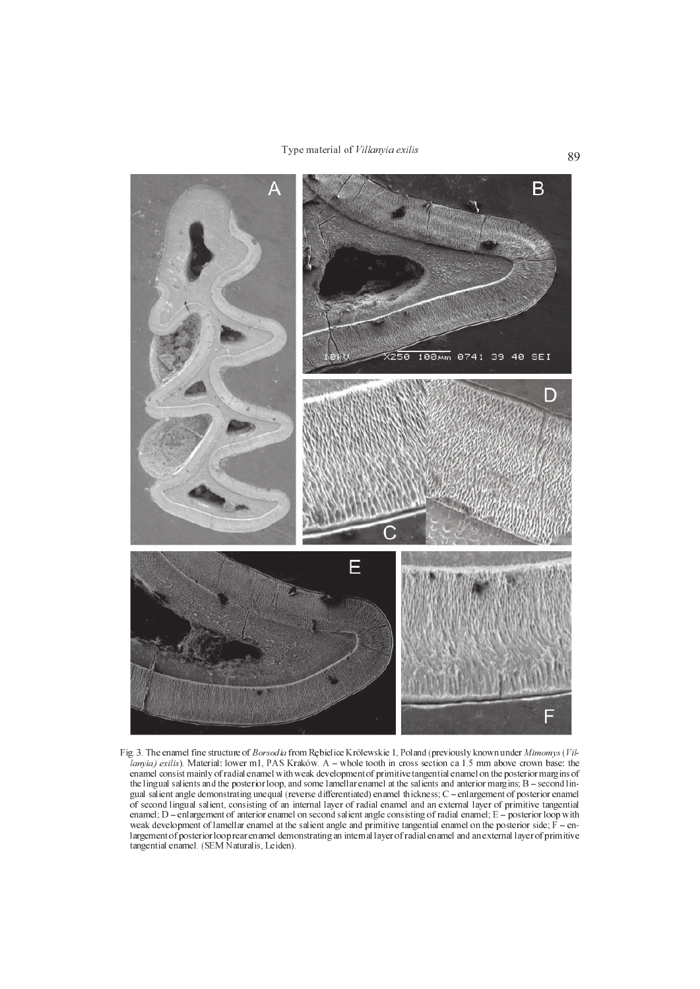

Fig. 3. The enamel fine structure of Borsodia from Rêbielice Królewskie 1, Poland (previously known under Mimomys(Villanyia) exilis). Material: lower m1, PAS Kraków. A  $-$  whole tooth in cross section ca 1.5 mm above crown base: the enamel consist mainly of radial enamel with weak development of primitive tangential enamel on the posterior margins of the lingual salients and the posterior loop, and some lamellar enamel at the salients and anterior margins;  $B$  – second lingual salient angle demonstrating unequal (reverse differentiated) enamel thickness; C enlargement of posterior enamel of second lingual salient, consisting of an internal layer of radial enamel and an external layer of primitive tangential enamel;  $D$  – enlargement of anterior enamel on second salient angle consisting of radial enamel;  $E$  – posterior loop with weak development of lamellar enamel at the salient angle and primitive tangential enamel on the posterior side;  $F - e n$ largement of posterior loop rear enamel demonstrating an internal layer of radial enamel and an external layer of primitive tangential enamel. (SEM Naturalis, Leiden).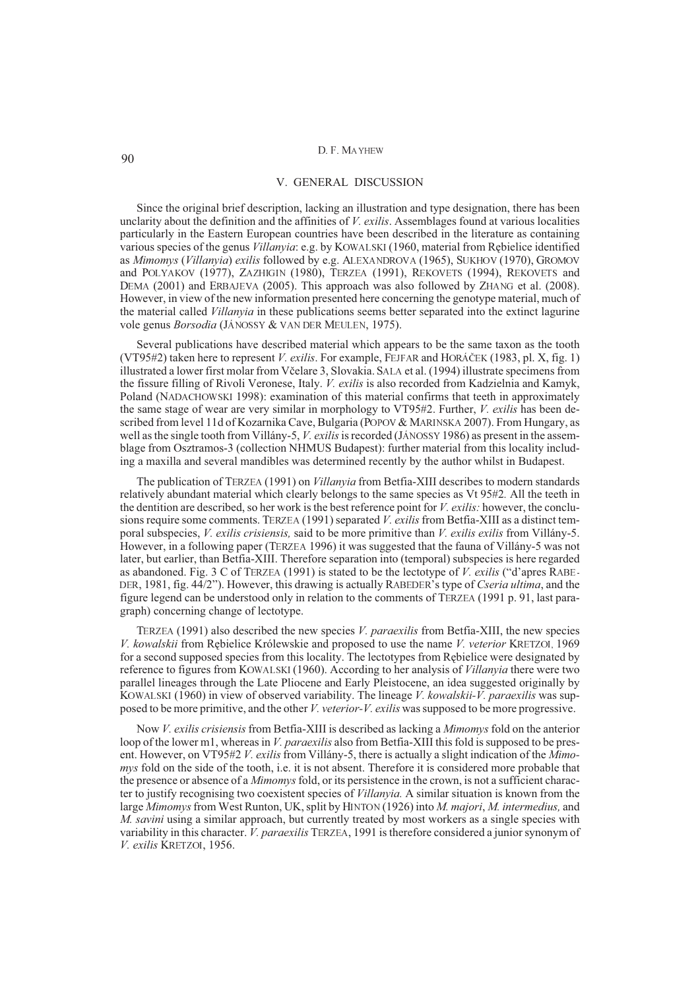## V. GENERAL DISCUSSION

Since the original brief description, lacking an illustration and type designation, there has been unclarity about the definition and the affinities of *V. exilis*. Assemblages found at various localities particularly in the Eastern European countries have been described in the literature as containing various species of the genus *Villanyia*: e.g. by KOWALSKI (1960, material from Rêbielice identified as *Mimomys* (*Villanyia*) *exilis* followed by e.g. ALEXANDROVA (1965), SUKHOV (1970), GROMOV and POLYAKOV (1977), ZAZHIGIN (1980), TERZEA (1991), REKOVETS (1994), REKOVETS and DEMA (2001) and ERBAJEVA (2005). This approach was also followed by ZHANG et al. (2008). However, in view of the new information presented here concerning the genotype material, much of the material called *Villanyia* in these publications seems better separated into the extinct lagurine vole genus *Borsodia* (JÁNOSSY & VAN DER MEULEN, 1975).

Several publications have described material which appears to be the same taxon as the tooth (VT95#2) taken here to represent *V. exilis*. For example, FEJFAR and HORÁÈEK (1983, pl. X, fig. 1) illustrated a lower first molar from Vèelare 3, Slovakia. SALA et al. (1994) illustrate specimens from the fissure filling of Rivoli Veronese, Italy. *V. exilis* is also recorded from Kadzielnia and Kamyk, Poland (NADACHOWSKI 1998): examination of this material confirms that teeth in approximately the same stage of wear are very similar in morphology to VT95#2. Further, *V. exilis* has been described from level 11d of Kozarnika Cave, Bulgaria (POPOV & MARINSKA 2007). From Hungary, as well as the single tooth from Villány-5, *V. exilis* is recorded (JÁNOSSY 1986) as present in the assemblage from Osztramos-3 (collection NHMUS Budapest): further material from this locality including a maxilla and several mandibles was determined recently by the author whilst in Budapest.

The publication of TERZEA (1991) on *Villanyia* from Betfia-XIII describes to modern standards relatively abundant material which clearly belongs to the same species as Vt 95#2*.* All the teeth in the dentition are described, so her work is the best reference point for *V. exilis:* however, the conclusions require some comments. TERZEA (1991) separated *V. exilis*from Betfia-XIII as a distinct temporal subspecies, *V. exilis crisiensis,* said to be more primitive than *V. exilis exilis* from Villány-5. However, in a following paper (TERZEA 1996) it was suggested that the fauna of Villány-5 was not later, but earlier, than Betfia-XIII. Therefore separation into (temporal) subspecies is here regarded as abandoned. Fig. 3 C of TERZEA (1991) is stated to be the lectotype of *V. exilis* ("d'apres RABE-DER, 1981, fig. 44/2"). However, this drawing is actually RABEDER's type of *Cseria ultima*, and the figure legend can be understood only in relation to the comments of TERZEA (1991 p. 91, last paragraph) concerning change of lectotype.

TERZEA (1991) also described the new species *V. paraexilis* from Betfia-XIII, the new species *V. kowalskii* from Rêbielice Królewskie and proposed to use the name *V. veterior* KRETZOI, 1969 for a second supposed species from this locality. The lectotypes from Rêbielice were designated by reference to figures from KOWALSKI (1960). According to her analysis of *Villanyia* there were two parallel lineages through the Late Pliocene and Early Pleistocene, an idea suggested originally by KOWALSKI (1960) in view of observed variability. The lineage *V. kowalskii-V. paraexilis* was supposed to be more primitive, and the other *V. veterior-V. exilis* was supposed to be more progressive.

Now *V. exilis crisiensis* from Betfia-XIII is described as lacking a *Mimomys* fold on the anterior loop of the lower m1, whereas in *V. paraexilis* also from Betfia-XIII this fold is supposed to be present. However, on VT95#2 *V. exilis* from Villány-5, there is actually a slight indication of the *Mimomys* fold on the side of the tooth, i.e. it is not absent. Therefore it is considered more probable that the presence or absence of a *Mimomys*fold, or its persistence in the crown, is not a sufficient character to justify recognising two coexistent species of *Villanyia.* A similar situation is known from the large *Mimomys*from West Runton, UK, split by HINTON (1926) into *M. majori*, *M. intermedius,* and *M. savini* using a similar approach, but currently treated by most workers as a single species with variability in this character. *V. paraexilis* TERZEA, 1991 is therefore considered a junior synonym of *V. exilis* KRETZOI, 1956.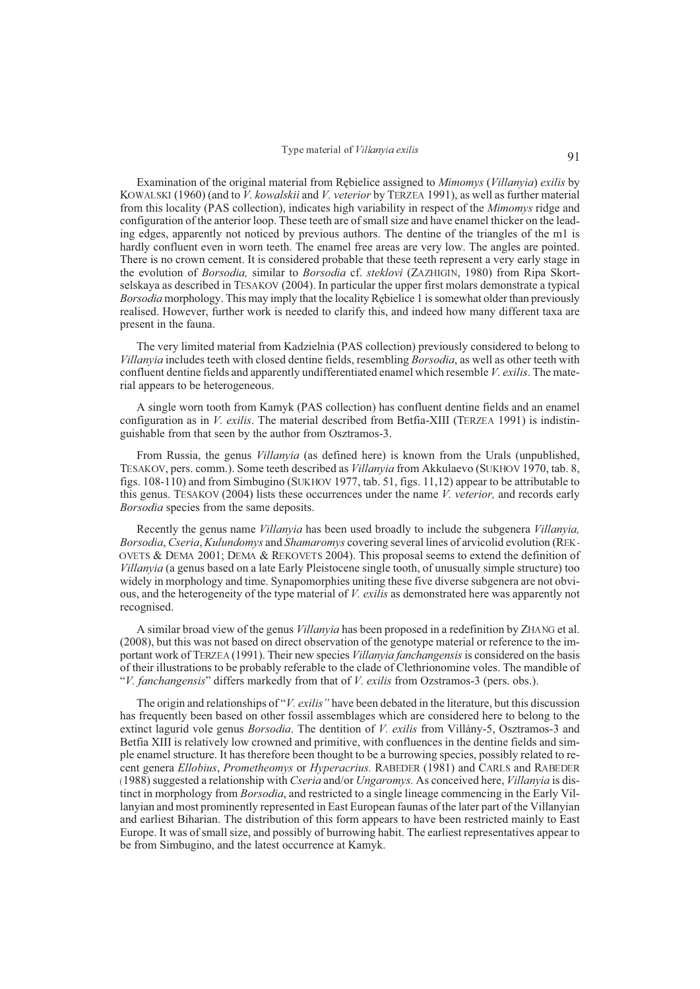# Type material of *Villanyia exilis* 91

Examination of the original material from Rêbielice assigned to *Mimomys* (*Villanyia*) *exilis* by KOWALSKI (1960) (and to *V. kowalskii* and *V. veterior* by TERZEA 1991), as well as further material from this locality (PAS collection), indicates high variability in respect of the *Mimomys* ridge and configuration of the anterior loop. These teeth are of small size and have enamel thicker on the leading edges, apparently not noticed by previous authors. The dentine of the triangles of the m1 is hardly confluent even in worn teeth. The enamel free areas are very low. The angles are pointed. There is no crown cement. It is considered probable that these teeth represent a very early stage in the evolution of *Borsodia,* similar to *Borsodia* cf. *steklovi* (ZAZHIGIN, 1980) from Ripa Skortselskaya as described in TESAKOV (2004). In particular the upper first molars demonstrate a typical *Borsodia* morphology. This may imply that the locality Rebielice 1 is somewhat older than previously realised. However, further work is needed to clarify this, and indeed how many different taxa are present in the fauna.

The very limited material from Kadzielnia (PAS collection) previously considered to belong to *Villanyia* includes teeth with closed dentine fields, resembling *Borsodia*, as well as other teeth with confluent dentine fields and apparently undifferentiated enamel which resemble *V. exilis*. The material appears to be heterogeneous.

A single worn tooth from Kamyk (PAS collection) has confluent dentine fields and an enamel configuration as in *V. exilis*. The material described from Betfia-XIII (TERZEA 1991) is indistinguishable from that seen by the author from Osztramos-3.

From Russia, the genus *Villanyia* (as defined here) is known from the Urals (unpublished, TESAKOV, pers. comm.). Some teeth described as *Villanyia* from Akkulaevo (SUKHOV 1970, tab. 8, figs. 108-110) and from Simbugino (SUKHOV 1977, tab. 51, figs. 11,12) appear to be attributable to this genus. TESAKOV (2004) lists these occurrences under the name *V. veterior,* and records early *Borsodia* species from the same deposits.

Recently the genus name *Villanyia* has been used broadly to include the subgenera *Villanyia, Borsodia*, *Cseria*, *Kulundomys* and *Shamaromys* covering several lines of arvicolid evolution (REK-OVETS & DEMA 2001; DEMA & REKOVETS 2004). This proposal seems to extend the definition of *Villanyia* (a genus based on a late Early Pleistocene single tooth, of unusually simple structure) too widely in morphology and time. Synapomorphies uniting these five diverse subgenera are not obvious, and the heterogeneity of the type material of *V. exilis* as demonstrated here was apparently not recognised.

A similar broad view of the genus *Villanyia* has been proposed in a redefinition by ZHANG et al. (2008), but this was not based on direct observation of the genotype material or reference to the important work of TERZEA (1991). Their new species *Villanyia fanchangensis*is considered on the basis of their illustrations to be probably referable to the clade of Clethrionomine voles. The mandible of "*V. fanchangensis*" differs markedly from that of *V. exilis* from Ozstramos-3 (pers. obs.).

The origin and relationships of "*V. exilis"* have been debated in the literature, but this discussion has frequently been based on other fossil assemblages which are considered here to belong to the extinct lagurid vole genus *Borsodia*. The dentition of *V. exilis* from Villány-5, Osztramos-3 and Betfia XIII is relatively low crowned and primitive, with confluences in the dentine fields and simple enamel structure. It has therefore been thought to be a burrowing species, possibly related to recent genera *Ellobius*, *Prometheomys* or *Hyperacrius.* RABEDER (1981) and CARLS and RABEDER (1988) suggested a relationship with *Cseria* and/or *Ungaromys.* As conceived here, *Villanyia* is distinct in morphology from *Borsodia*, and restricted to a single lineage commencing in the Early Villanyian and most prominently represented in East European faunas of the later part of the Villanyian and earliest Biharian. The distribution of this form appears to have been restricted mainly to East Europe. It was of small size, and possibly of burrowing habit. The earliest representatives appear to be from Simbugino, and the latest occurrence at Kamyk.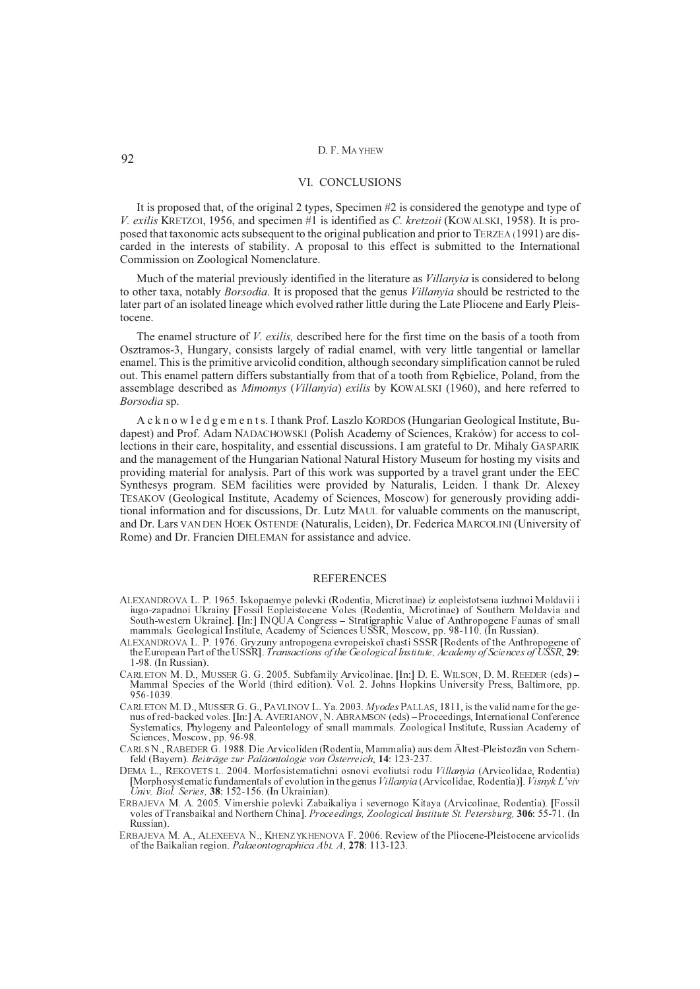#### VI. CONCLUSIONS

It is proposed that, of the original 2 types, Specimen #2 is considered the genotype and type of *V. exilis* KRETZOI, 1956, and specimen #1 is identified as *C. kretzoii* (KOWALSKI, 1958). It is proposed that taxonomic acts subsequent to the original publication and prior to TERZEA (1991) are discarded in the interests of stability. A proposal to this effect is submitted to the International Commission on Zoological Nomenclature.

Much of the material previously identified in the literature as *Villanyia* is considered to belong to other taxa, notably *Borsodia*. It is proposed that the genus *Villanyia* should be restricted to the later part of an isolated lineage which evolved rather little during the Late Pliocene and Early Pleistocene.

The enamel structure of *V. exilis,* described here for the first time on the basis of a tooth from Osztramos-3, Hungary, consists largely of radial enamel, with very little tangential or lamellar enamel. This is the primitive arvicolid condition, although secondary simplification cannot be ruled out. This enamel pattern differs substantially from that of a tooth from Rêbielice, Poland, from the assemblage described as *Mimomys* (*Villanyia*) *exilis* by KOWALSKI (1960), and here referred to *Borsodia* sp.

A c k n o w l e d g e m e n t s. I thank Prof. Laszlo KORDOS (Hungarian Geological Institute, Budapest) and Prof. Adam NADACHOWSKI (Polish Academy of Sciences, Kraków) for access to collections in their care, hospitality, and essential discussions. I am grateful to Dr. Mihaly GASPARIK and the management of the Hungarian National Natural History Museum for hosting my visits and providing material for analysis. Part of this work was supported by a travel grant under the EEC Synthesys program. SEM facilities were provided by Naturalis, Leiden. I thank Dr. Alexey TESAKOV (Geological Institute, Academy of Sciences, Moscow) for generously providing additional information and for discussions, Dr. Lutz MAUL for valuable comments on the manuscript, and Dr. Lars VAN DEN HOEK OSTENDE (Naturalis, Leiden), Dr. Federica MARCOLINI (University of Rome) and Dr. Francien DIELEMAN for assistance and advice.

## REFERENCES

- ALEXANDROVA L. P. 1965. Iskopaemye polevki (Rodentia, Microtinae) iz eopleistotsena iuzhnoi Moldavii i iugo-zapadnoi Ukrainy [Fossil Eopleistocene Voles (Rodentia, Microtinae) of Southern Moldavia and South-western Ukraine]. [In:] INQUA Congress - Stratigraphic Value of Anthropogene Faunas of small mammals. Geological Institute, Academy of Sciences USSR, Moscow, pp. 98-110. (In Russian).
- ALEXANDROVA L. P. 1976. Gryzuny antropogena evropeiskoï chasti SSSR [Rodents of the Anthropogene of the European Part of the USSR]. Transactions of the Geological Institute, Academy of Sciences of USSR, **29**: 1-98. (In Russian).
- CARLETON M. D., MUSSER G. G. 2005. Subfamily Arvicolinae. [In:] D. E. WILSON, D. M. REEDER (eds) Mammal Species of the World (third edition). Vol. 2. Johns Hopkins University Press, Baltimore, pp. 956-1039.
- CARLETON M. D., MUSSER G. G., PAVLINOV L. Ya. 2003. Myodes PALLAS, 1811, is the valid name for the genus of red-backed voles. [In:] A. AVERIANOV, N. ABRAMSON (eds) Proceedings, International Conference Systematics, Phylogeny and Paleontology of small mammals. Zoological Institute, Russian Academy of Sciences, Moscow, pp. 96-98.
- CARLS N., RABEDER G. 1988. Die Arvicoliden (Rodentia, Mammalia) aus dem Ältest-Pleistozän von Schernfeld (Bayern). Beiträge zur Paläontologie von Österreich, **14**: 123-237.
- DEMA L., REKOVETS L. 2004. Morfosistematichni osnovi evoliutsi rodu Villanyia (Arvicolidae, Rodentia) [Morphosystematic fundamentals of evolution in the genus Villanvia (Arvicolidae, Rodentia)]. Visnyk L'viv Univ. Biol. Series, **38**: 152-156. (In Ukrainian).
- ERBAJEVA M. A. 2005. Vimershie polevki Zabaikaliya i severnogo Kitaya (Arvicolinae, Rodentia). [Fossil voles of Transbaikal and Northern China]. Proceedings, Zoological Institute St. Petersburg, **306**: 55-71. (In Russian).
- ERBAJEVA M. A., ALEXEEVA N., KHENZYKHENOVA F. 2006. Review of the Pliocene-Pleistocene arvicolids of the Baikalian region. Palaeontographica Abt. A, **278**: 113-123.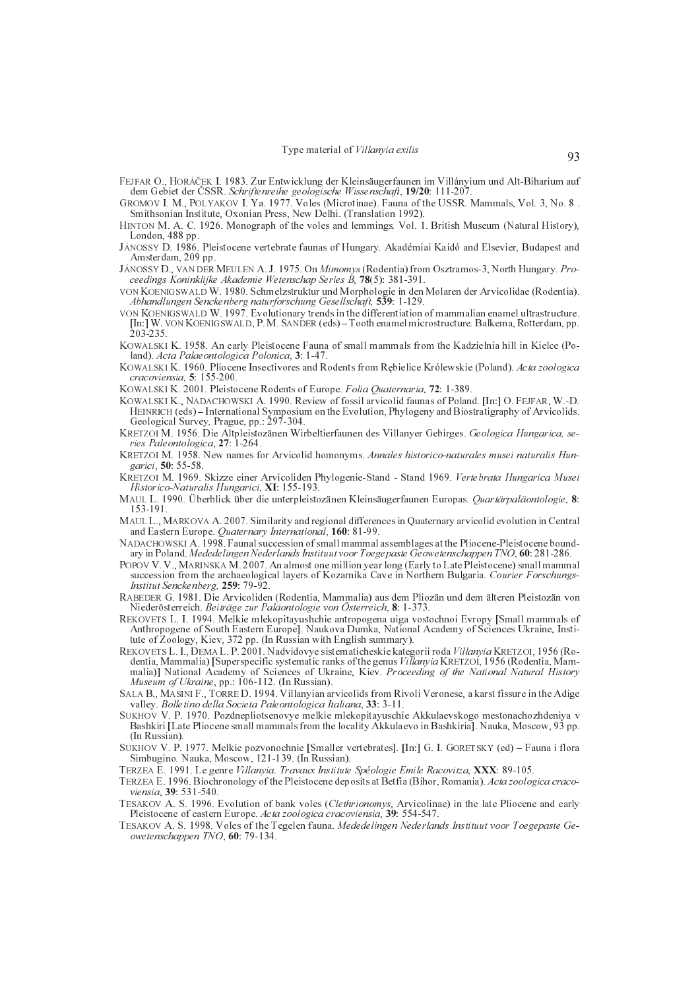- FEJFAR O., HORÁÈEK I. 1983. Zur Entwicklung der Kleinsäugerfaunen im Villányium und Alt-Biharium auf dem Gebiet der ÈSSR. Schriftenreihe geologische Wissenschaft, **19/20**: 111-207.
- GROMOV I. M., POLYAKOV I. Ya. 1977. Voles (Microtinae). Fauna of the USSR. Mammals, Vol. 3, No. 8 . Smithsonian Institute, Oxonian Press, New Delhi. (Translation 1992).
- HINTON M. A. C. 1926. Monograph of the voles and lemmings. Vol. 1. British Museum (Natural History), London, 488 pp.
- JÁNOSSY D. 1986. Pleistocene vertebrate faunas of Hungary. Akadémiai Kaidó and Elsevier, Budapest and Amsterdam, 209 pp.
- JÁNOSSY D., VAN DER MEULEN A. J. 1975. On Mimomys (Rodentia) from Osztramos-3, North Hungary. Proceedings Koninklijke Akademie Wetenschap Series B, **78**(5): 381-391.
- VON KOENIGSWALD W. 1980. Schmelzstruktur und Morphologie in den Molaren der Arvicolidae (Rodentia). Abhandlungen Senckenberg naturforschung Gesellschaft, **539**: 1-129.
- VON KOENIGSWALD W. 1997. Evolutionary trends in the differentiation of mammalian enamel ultrastructure. [In:] W. VON KOENIGSWALD, P. M. SANDER (eds) Tooth enamel microstructure. Balkema, Rotterdam, pp. 203-235.
- KOWALSKI K. 1958. An early Pleistocene Fauna of small mammals from the Kadzielnia hill in Kielce (Poland). Acta Palaeontologica Polonica, **3**: 1-47.
- KOWALSKI K. 1960. Pliocene Insectivores and Rodents from Rêbielice Królewskie (Poland). Acta zoologica cracoviensia, **5**: 155-200.
- KOWALSKI K. 2001. Pleistocene Rodents of Europe. Folia Quaternaria, **72**: 1-389.
- KOWALSKI K., NADACHOWSKI A. 1990. Review of fossil arvicolid faunas of Poland. [In:] O. FEJFAR, W.-D. HEINRICH (eds) – International Symposium on the Evolution, Phylogeny and Biostratigraphy of Arvicolids. Geological Survey, Prague, pp.: 297-304.
- KRETZOI M. 1956. Die Altpleistozänen Wirbeltierfaunen des Villanyer Gebirges. Geologica Hungarica, series Paleontologica, **27**: 1-264.
- KRETZOI M. 1958. New names for Arvicolid homonyms. Annales historico-naturales musei naturalis Hungarici, **50**: 55-58.
- KRETZOI M. 1969. Skizze einer Arvicoliden Phylogenie-Stand Stand 1969. Vertebrata Hungarica Musei Historico-Naturalis Hungarici, **XI**: 155-193.
- MAUL L. 1990. Überblick über die unterpleistozänen Kleinsäugerfaunen Europas. Quartärpaläontologie, **8**: 153-191.
- MAUL L., MARKOVA A. 2007. Similarity and regional differences in Quaternary arvicolid evolution in Central and Eastern Europe. Quaternary International, **160**: 81-99.
- NADACHOWSKI A. 1998. Faunal succession of small mammal assemblages at the Pliocene-Pleistocene boundary in Poland. Mededelingen Nederlands Instituut voor Toegepaste Geowetenschappen TNO, **60**: 281-286.
- POPOV V. V., MARINSKA M. 2007. An almost one million year long (Early to Late Pleistocene) small mammal succession from the archaeological layers of Kozarnika Cave in Northern Bulgaria. Courier Forschungs-Institut Senckenberg, **259**: 79-92.
- RABEDER G. 1981. Die Arvicoliden (Rodentia, Mammalia) aus dem Pliozän und dem älteren Pleistozän von Niederösterreich. Beiträge zur Paläontologie von Österreich, **8**: 1-373.
- REKOVETS L. I. 1994. Melkie mlekopitayushchie antropogena uiga vostochnoi Evropy [Small mammals of Anthropogene of South Eastern Europe]. Naukova Dumka, National Academy of Sciences Ukraine, Institute of Zoology, Kiev, 372 pp. (In Russian with English summary).
- REKOVETS L. I., DEMA L. P. 2001. Nadvidovye sistematicheskie kategorii roda Villanyia KRETZOI, 1956 (Rodentia, Mammalia) [Superspecific systematic ranks of the genus Villanyia KRETZOI, 1956 (Rodentia, Mammalia)] National Academy of Sciences of Ukraine, Kiev. Proceeding of the National Natural History Museum of Ukraine, pp.: 106-112. (In Russian).
- SALA B., MASINI F., TORRE D. 1994. Villanyian arvicolids from Rivoli Veronese, a karst fissure in the Adige valley. Bolletino della Societa Paleontologica Italiana, **33**: 3-11.
- SUKHOV V. P. 1970. Pozdnepliotsenovye melkie mlekopitayuschie Akkulaevskogo mestonachozhdeniya v Bashkiri [Late Pliocene small mammals from the locality Akkulaevo in Bashkiria]. Nauka, Moscow, 93 pp. (In Russian).
- SUKHOV V. P. 1977. Melkie pozvonochnie [Smaller vertebrates]. [In:] G. I. GORETSKY (ed) Fauna i flora Simbugino. Nauka, Moscow, 121-139. (In Russian).
- TERZEA E. 1991. Le genre Villanyia. Travaux Institute Spéologie Emile Racovitza, **XXX**: 89-105.
- TERZEA E. 1996. Biochronology of the Pleistocene deposits at Betfia (Bihor, Romania). Acta zoologica cracoviensia, **39**: 531-540.
- TESAKOV A. S. 1996. Evolution of bank voles (Clethrionomys, Arvicolinae) in the late Pliocene and early Pleistocene of eastern Europe. Acta zoologica cracoviensia, **39**: 554-547.
- TESAKOV A. S. 1998. Voles of the Tegelen fauna. Mededelingen Nederlands Instituut voor Toegepaste Geowetenschappen TNO, **60**: 79-134.